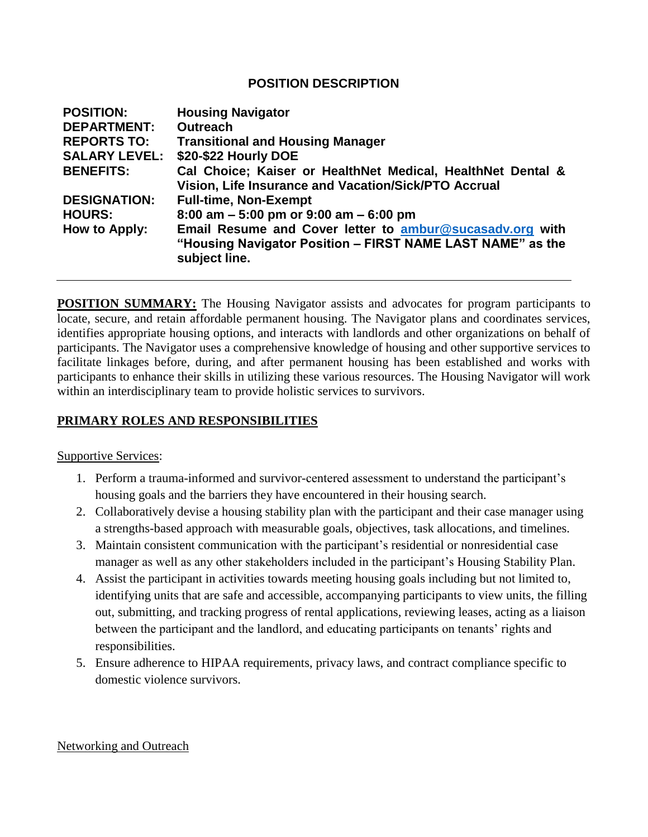### **POSITION DESCRIPTION**

| <b>POSITION:</b>     | <b>Housing Navigator</b>                                                                                            |
|----------------------|---------------------------------------------------------------------------------------------------------------------|
| <b>DEPARTMENT:</b>   | <b>Outreach</b>                                                                                                     |
| <b>REPORTS TO:</b>   | <b>Transitional and Housing Manager</b>                                                                             |
| <b>SALARY LEVEL:</b> | \$20-\$22 Hourly DOE                                                                                                |
| <b>BENEFITS:</b>     | Cal Choice; Kaiser or HealthNet Medical, HealthNet Dental &<br>Vision, Life Insurance and Vacation/Sick/PTO Accrual |
| <b>DESIGNATION:</b>  | <b>Full-time, Non-Exempt</b>                                                                                        |
| <b>HOURS:</b>        | 8:00 am $-5:00$ pm or 9:00 am $-6:00$ pm                                                                            |
| How to Apply:        | Email Resume and Cover letter to ambur@sucasadv.org with                                                            |
|                      | "Housing Navigator Position - FIRST NAME LAST NAME" as the<br>subject line.                                         |

**POSITION SUMMARY:** The Housing Navigator assists and advocates for program participants to locate, secure, and retain affordable permanent housing. The Navigator plans and coordinates services, identifies appropriate housing options, and interacts with landlords and other organizations on behalf of participants. The Navigator uses a comprehensive knowledge of housing and other supportive services to facilitate linkages before, during, and after permanent housing has been established and works with participants to enhance their skills in utilizing these various resources. The Housing Navigator will work within an interdisciplinary team to provide holistic services to survivors.

# **PRIMARY ROLES AND RESPONSIBILITIES**

Supportive Services:

- 1. Perform a trauma-informed and survivor-centered assessment to understand the participant's housing goals and the barriers they have encountered in their housing search.
- 2. Collaboratively devise a housing stability plan with the participant and their case manager using a strengths-based approach with measurable goals, objectives, task allocations, and timelines.
- 3. Maintain consistent communication with the participant's residential or nonresidential case manager as well as any other stakeholders included in the participant's Housing Stability Plan.
- 4. Assist the participant in activities towards meeting housing goals including but not limited to, identifying units that are safe and accessible, accompanying participants to view units, the filling out, submitting, and tracking progress of rental applications, reviewing leases, acting as a liaison between the participant and the landlord, and educating participants on tenants' rights and responsibilities.
- 5. Ensure adherence to HIPAA requirements, privacy laws, and contract compliance specific to domestic violence survivors.

Networking and Outreach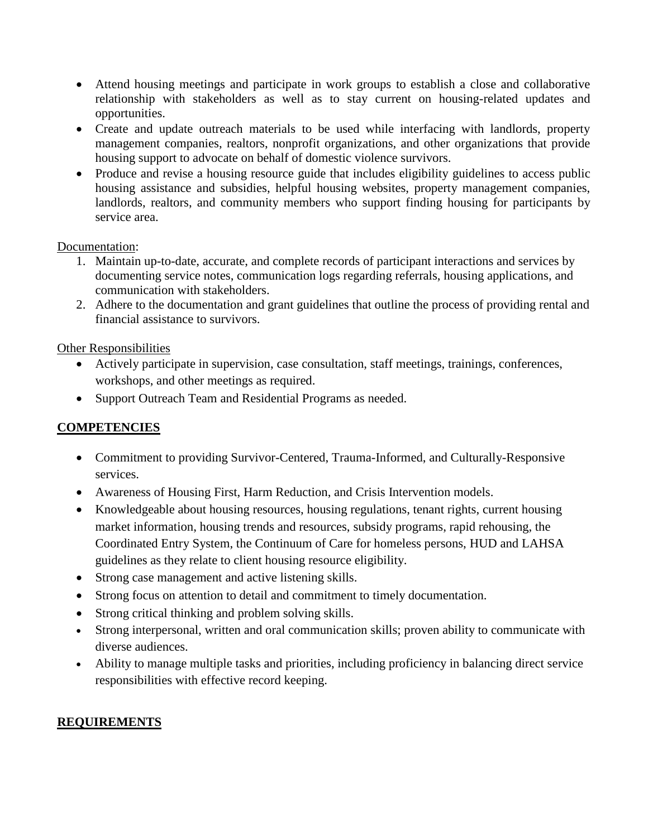- Attend housing meetings and participate in work groups to establish a close and collaborative relationship with stakeholders as well as to stay current on housing-related updates and opportunities.
- Create and update outreach materials to be used while interfacing with landlords, property management companies, realtors, nonprofit organizations, and other organizations that provide housing support to advocate on behalf of domestic violence survivors.
- Produce and revise a housing resource guide that includes eligibility guidelines to access public housing assistance and subsidies, helpful housing websites, property management companies, landlords, realtors, and community members who support finding housing for participants by service area.

#### Documentation:

- 1. Maintain up-to-date, accurate, and complete records of participant interactions and services by documenting service notes, communication logs regarding referrals, housing applications, and communication with stakeholders.
- 2. Adhere to the documentation and grant guidelines that outline the process of providing rental and financial assistance to survivors.

### Other Responsibilities

- Actively participate in supervision, case consultation, staff meetings, trainings, conferences, workshops, and other meetings as required.
- Support Outreach Team and Residential Programs as needed.

# **COMPETENCIES**

- Commitment to providing Survivor-Centered, Trauma-Informed, and Culturally-Responsive services.
- Awareness of Housing First, Harm Reduction, and Crisis Intervention models.
- Knowledgeable about housing resources, housing regulations, tenant rights, current housing market information, housing trends and resources, subsidy programs, rapid rehousing, the Coordinated Entry System, the Continuum of Care for homeless persons, HUD and LAHSA guidelines as they relate to client housing resource eligibility.
- Strong case management and active listening skills.
- Strong focus on attention to detail and commitment to timely documentation.
- Strong critical thinking and problem solving skills.
- Strong interpersonal, written and oral communication skills; proven ability to communicate with diverse audiences.
- Ability to manage multiple tasks and priorities, including proficiency in balancing direct service responsibilities with effective record keeping.

### **REQUIREMENTS**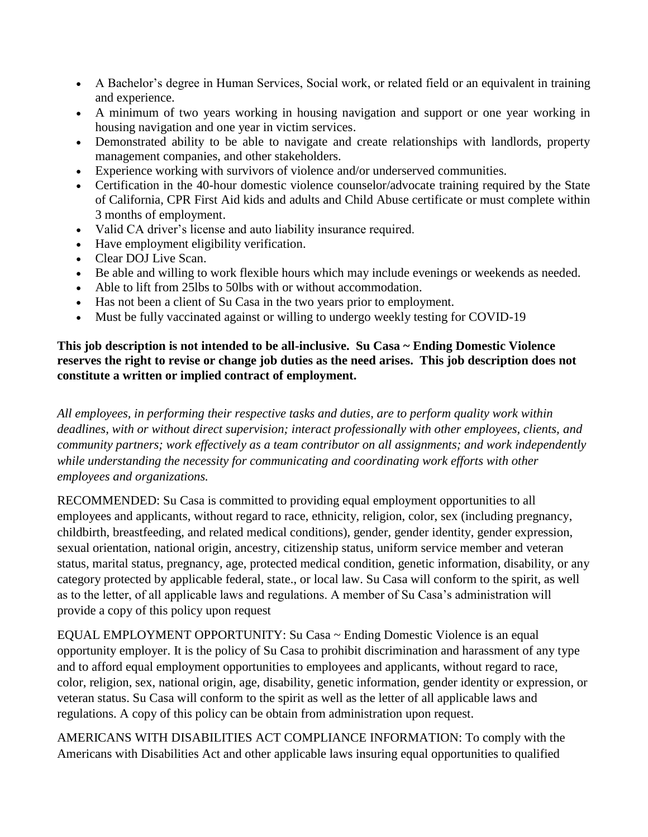- A Bachelor's degree in Human Services, Social work, or related field or an equivalent in training and experience.
- A minimum of two years working in housing navigation and support or one year working in housing navigation and one year in victim services.
- Demonstrated ability to be able to navigate and create relationships with landlords, property management companies, and other stakeholders.
- Experience working with survivors of violence and/or underserved communities.
- Certification in the 40-hour domestic violence counselor/advocate training required by the State of California, CPR First Aid kids and adults and Child Abuse certificate or must complete within 3 months of employment.
- Valid CA driver's license and auto liability insurance required.
- Have employment eligibility verification.
- Clear DOJ Live Scan.
- Be able and willing to work flexible hours which may include evenings or weekends as needed.
- Able to lift from 25lbs to 50lbs with or without accommodation.
- Has not been a client of Su Casa in the two years prior to employment.
- Must be fully vaccinated against or willing to undergo weekly testing for COVID-19

### **This job description is not intended to be all-inclusive. Su Casa ~ Ending Domestic Violence reserves the right to revise or change job duties as the need arises. This job description does not constitute a written or implied contract of employment.**

*All employees, in performing their respective tasks and duties, are to perform quality work within deadlines, with or without direct supervision; interact professionally with other employees, clients, and community partners; work effectively as a team contributor on all assignments; and work independently while understanding the necessity for communicating and coordinating work efforts with other employees and organizations.*

RECOMMENDED: Su Casa is committed to providing equal employment opportunities to all employees and applicants, without regard to race, ethnicity, religion, color, sex (including pregnancy, childbirth, breastfeeding, and related medical conditions), gender, gender identity, gender expression, sexual orientation, national origin, ancestry, citizenship status, uniform service member and veteran status, marital status, pregnancy, age, protected medical condition, genetic information, disability, or any category protected by applicable federal, state., or local law. Su Casa will conform to the spirit, as well as to the letter, of all applicable laws and regulations. A member of Su Casa's administration will provide a copy of this policy upon request

EQUAL EMPLOYMENT OPPORTUNITY: Su Casa ~ Ending Domestic Violence is an equal opportunity employer. It is the policy of Su Casa to prohibit discrimination and harassment of any type and to afford equal employment opportunities to employees and applicants, without regard to race, color, religion, sex, national origin, age, disability, genetic information, gender identity or expression, or veteran status. Su Casa will conform to the spirit as well as the letter of all applicable laws and regulations. A copy of this policy can be obtain from administration upon request.

AMERICANS WITH DISABILITIES ACT COMPLIANCE INFORMATION: To comply with the Americans with Disabilities Act and other applicable laws insuring equal opportunities to qualified